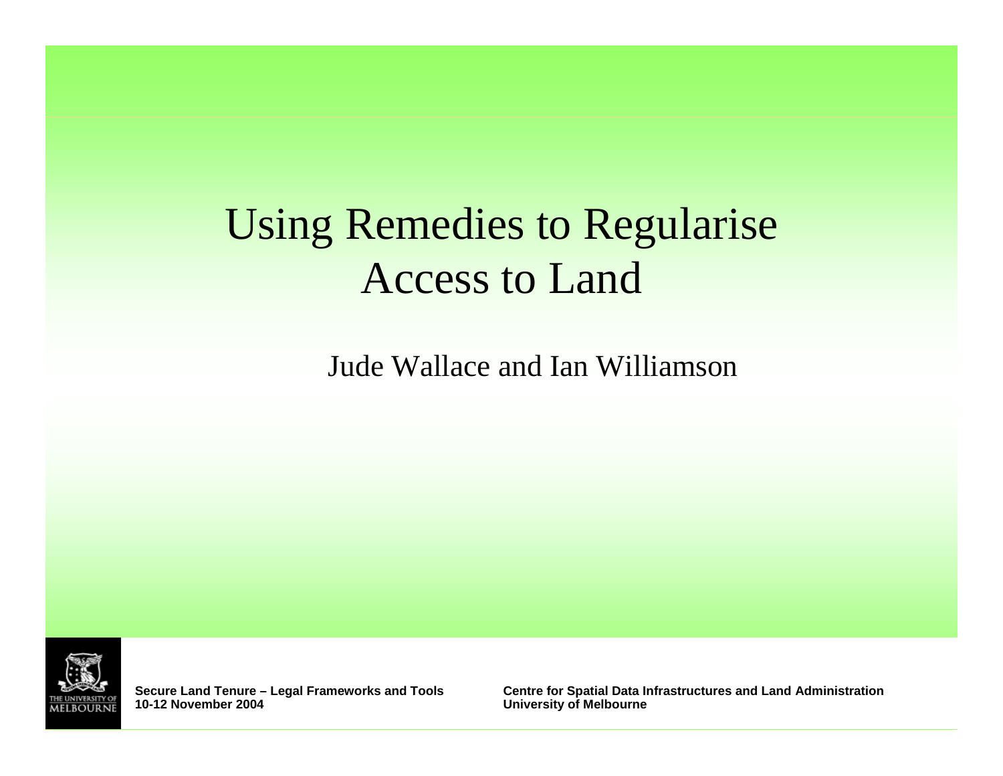# Using Remedies to Regularise Access to Land

Jude Wallace and Ian Williamson

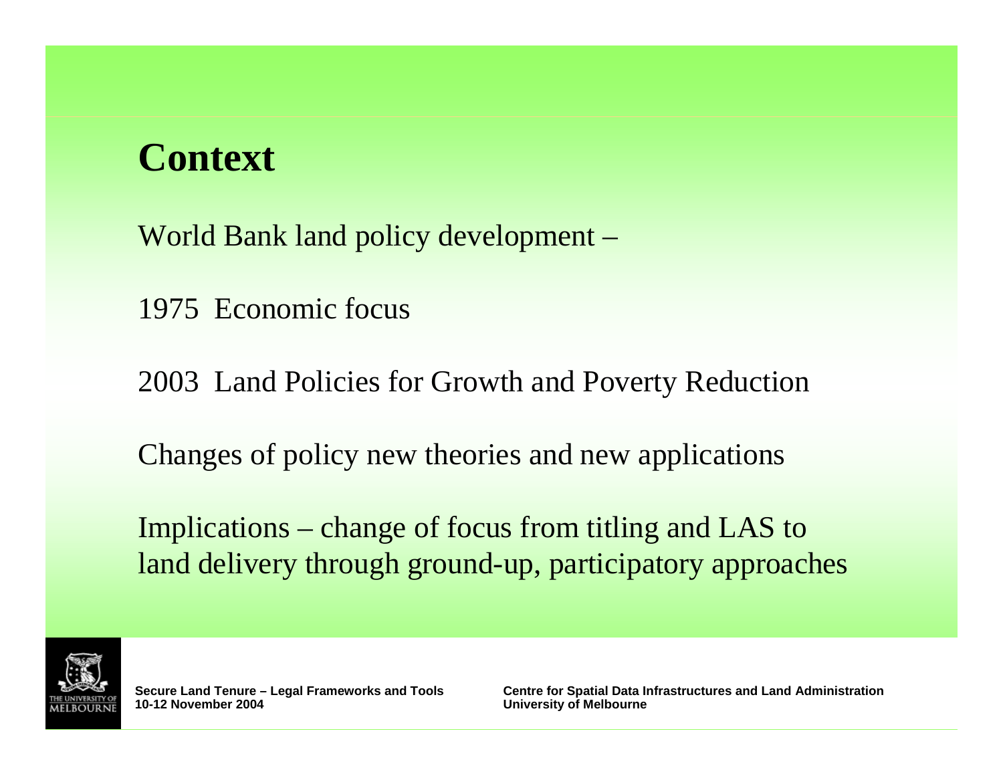## **Context**

World Bank land policy development –

1975 Economic focus

2003 Land Policies for Growth and Poverty Reduction

Changes of policy new theories and new applications

Implications – change of focus from titling and LAS to land delivery through ground-up, participatory approaches

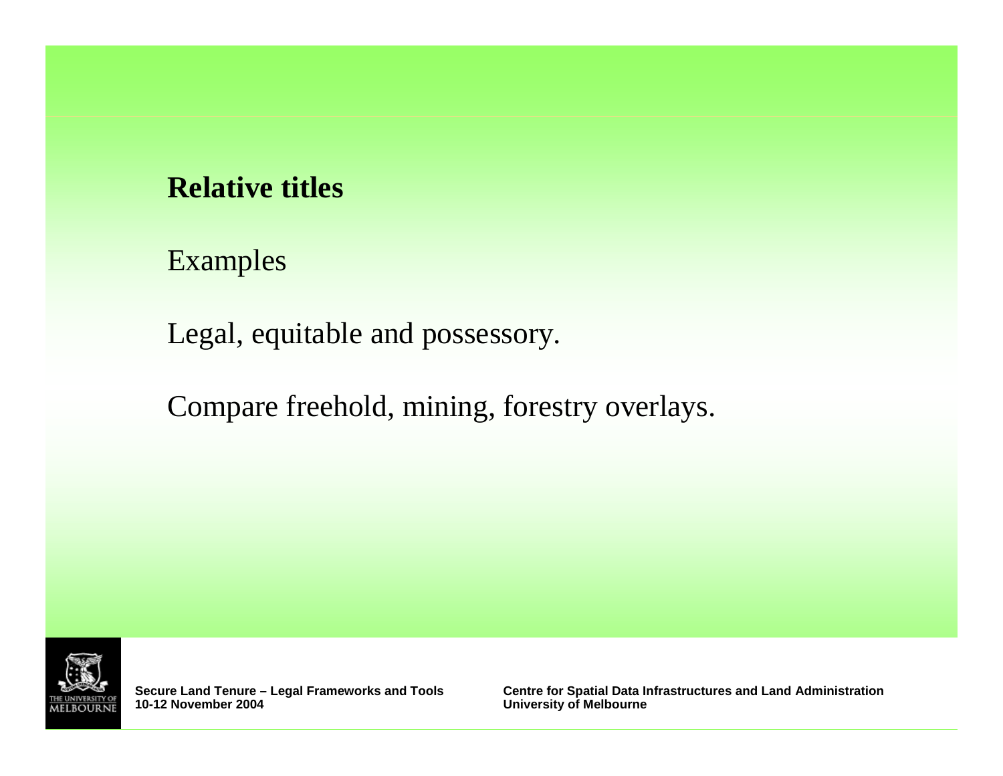#### **Relative titles**

Examples

Legal, equitable and possessory.

Compare freehold, mining, forestry overlays.



**Secure Land Tenure - Legal Frameworks and Tools 10-12 November 2004**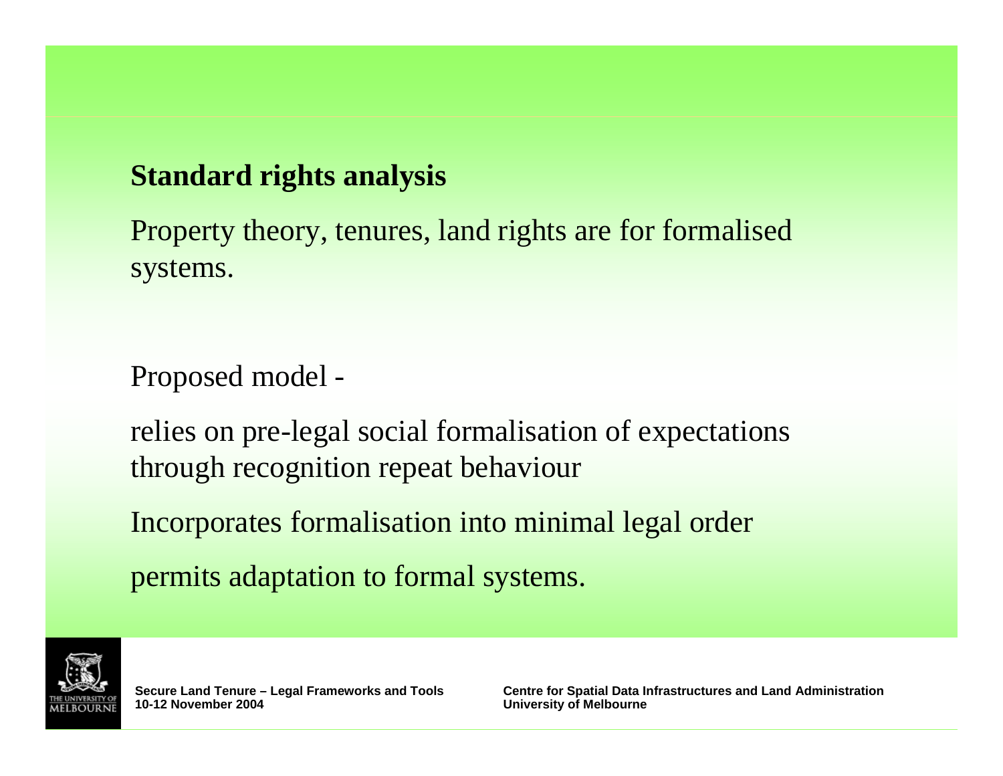#### **Standard rights analysis**

Property theory, tenures, land rights are for formalised systems.

Proposed model -

relies on pre-legal social formalisation of expectations through recognition repeat behaviour

Incorporates formalisation into minimal legal order

permits adaptation to formal systems.

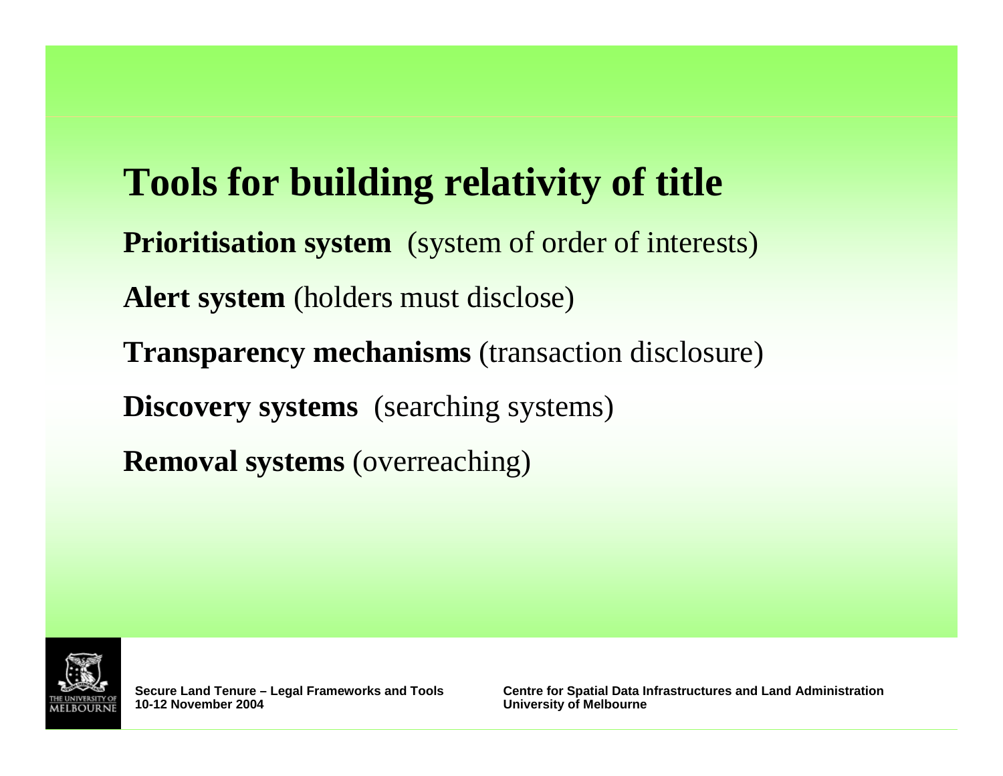# **Tools for building relativity of title Prioritisation system** (system of order of interests) **Alert system** (holders must disclose) **Transparency mechanisms** (transaction disclosure) **Discovery systems** (searching systems) **Removal systems** (overreaching)

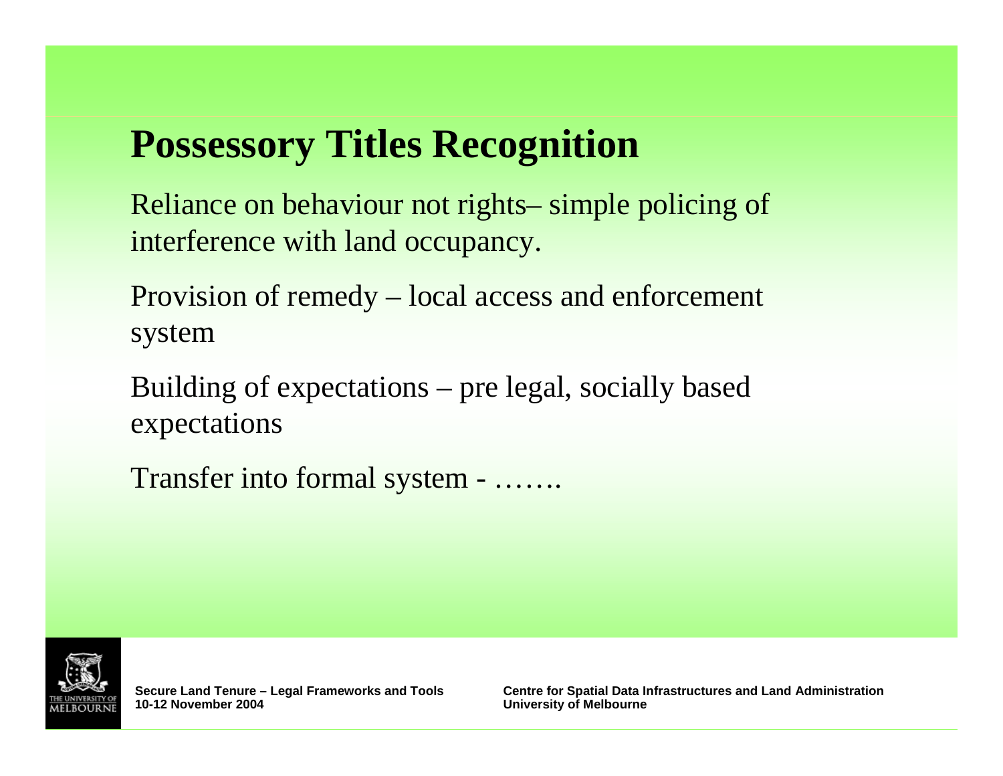# **Possessory Titles Recognition**

Reliance on behaviour not rights– simple policing of interference with land occupancy.

Provision of remedy – local access and enforcement system

Building of expectations – pre legal, socially based expectations

Transfer into formal system - …….

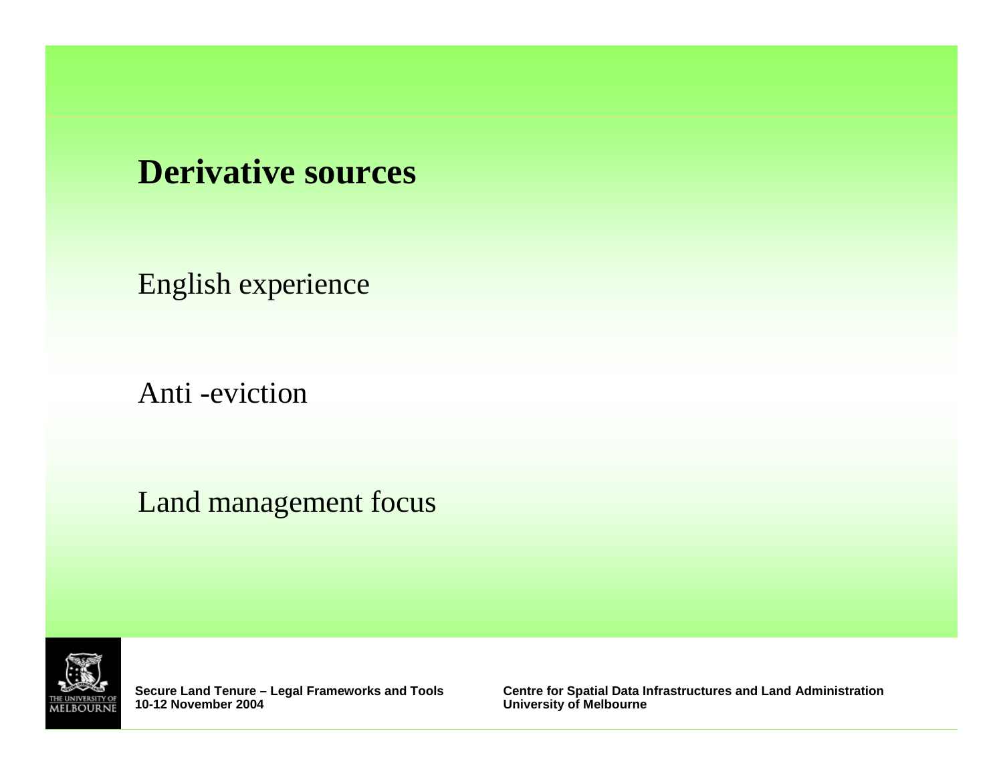### **Derivative sources**

English experience

Anti -eviction

Land management focus



**Secure Land Tenure - Legal Frameworks and Tools 10-12 November 2004**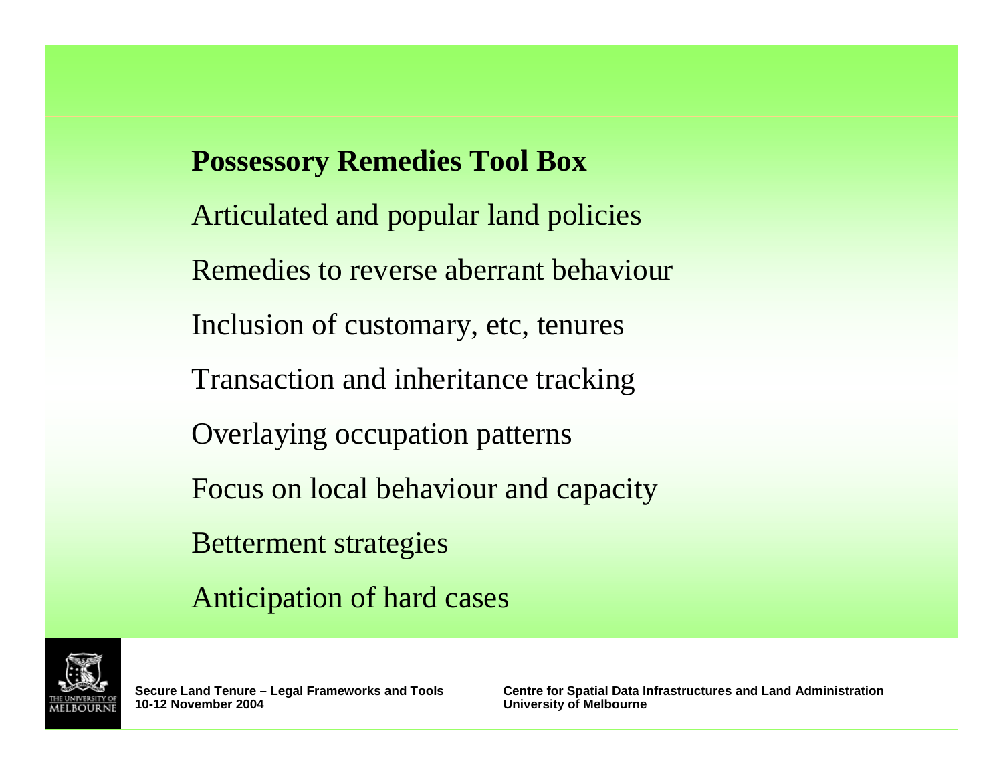**Possessory Remedies Tool Box** Articulated and popular land policies Remedies to reverse aberrant behaviour Inclusion of customary, etc, tenures Transaction and inheritance tracking Overlaying occupation patterns Focus on local behaviour and capacity Betterment strategies Anticipation of hard cases

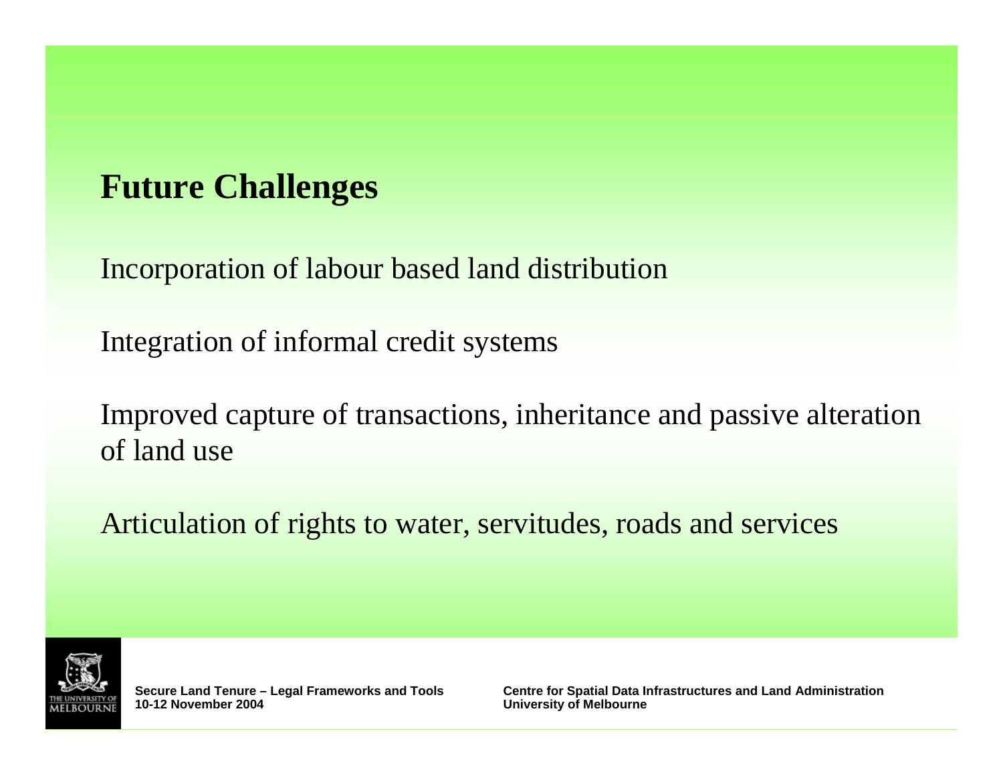### **Future Challenges**

Incorporation of labour based land distribution

Integration of informal credit systems

Improved capture of transactions, inheritance and passive alteration of land use

Articulation of rights to water, servitudes, roads and services

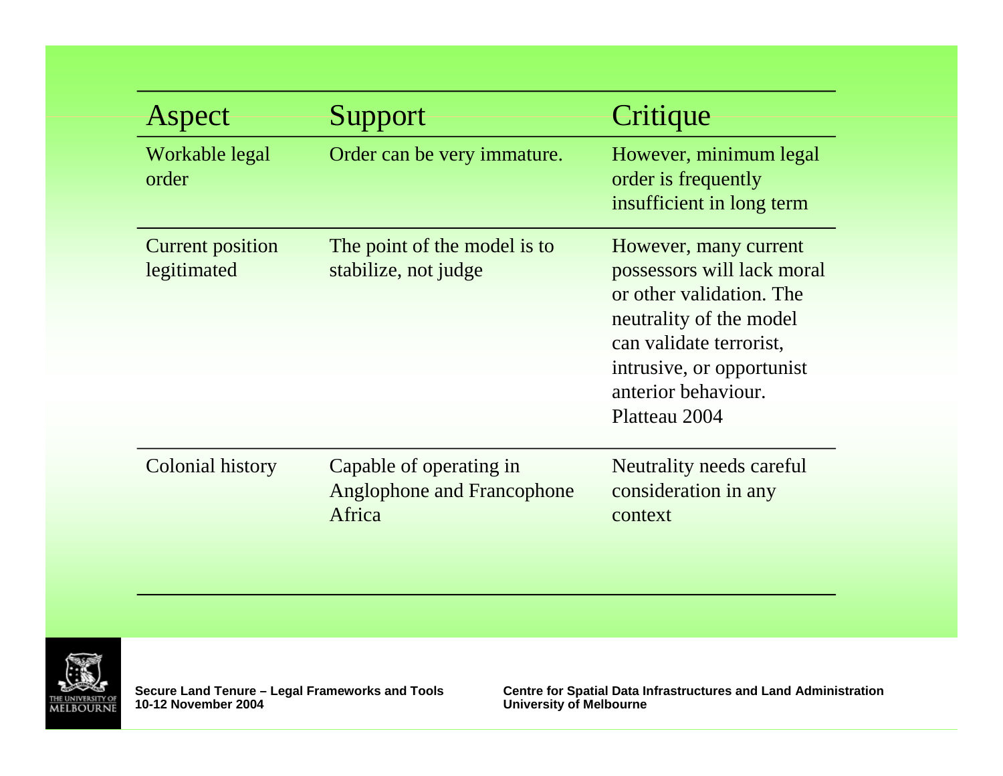| Aspect                                 | Support                                                                | Critique                                                                                                                                                                                                   |
|----------------------------------------|------------------------------------------------------------------------|------------------------------------------------------------------------------------------------------------------------------------------------------------------------------------------------------------|
| Workable legal<br>order                | Order can be very immature.                                            | However, minimum legal<br>order is frequently<br>insufficient in long term                                                                                                                                 |
| <b>Current position</b><br>legitimated | The point of the model is to<br>stabilize, not judge                   | However, many current<br>possessors will lack moral<br>or other validation. The<br>neutrality of the model<br>can validate terrorist.<br>intrusive, or opportunist<br>anterior behaviour.<br>Platteau 2004 |
| Colonial history                       | Capable of operating in<br><b>Anglophone and Francophone</b><br>Africa | Neutrality needs careful<br>consideration in any<br>context                                                                                                                                                |



**10-12 November 2004 Prameworks and Tools**<br>10-12 November 2004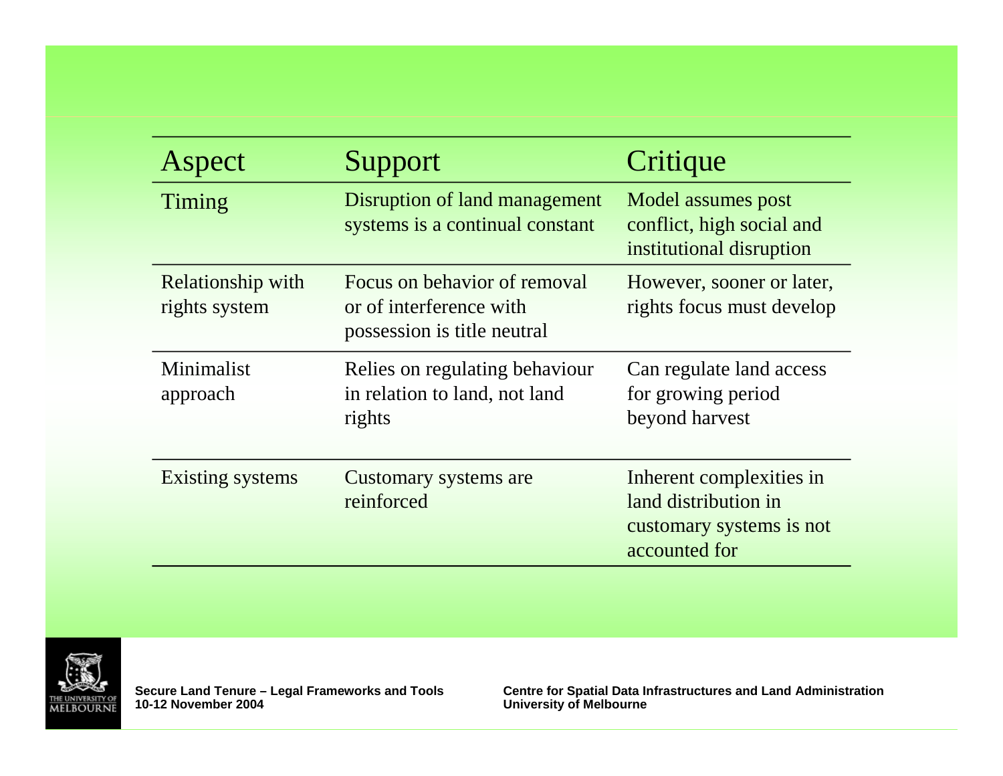| Aspect                             | Support                                                                                | Critique                                                                                      |
|------------------------------------|----------------------------------------------------------------------------------------|-----------------------------------------------------------------------------------------------|
| Timing                             | Disruption of land management<br>systems is a continual constant                       | Model assumes post<br>conflict, high social and<br>institutional disruption                   |
| Relationship with<br>rights system | Focus on behavior of removal<br>or of interference with<br>possession is title neutral | However, sooner or later,<br>rights focus must develop                                        |
| Minimalist<br>approach             | Relies on regulating behaviour<br>in relation to land, not land<br>rights              | Can regulate land access<br>for growing period<br>beyond harvest                              |
| Existing systems                   | Customary systems are<br>reinforced                                                    | Inherent complexities in<br>land distribution in<br>customary systems is not<br>accounted for |